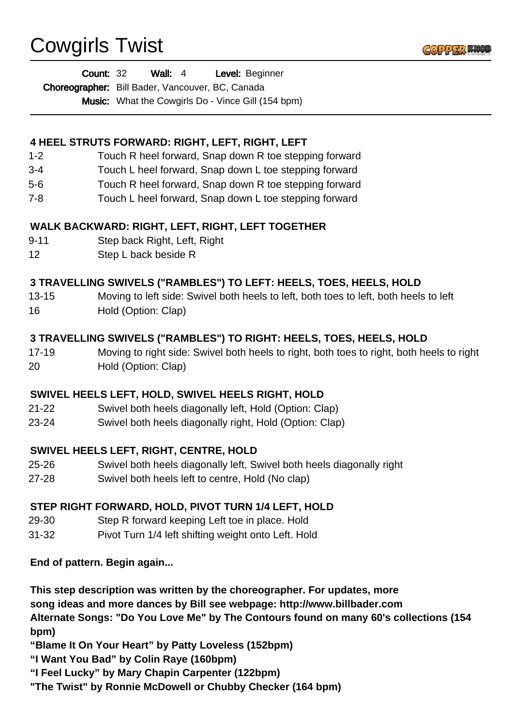# Cowgirls Twist



| <b>Count: 32</b>                                 | Wall: $4$ | Level: Beginner                                           |
|--------------------------------------------------|-----------|-----------------------------------------------------------|
| Choreographer: Bill Bader, Vancouver, BC, Canada |           |                                                           |
|                                                  |           | <b>Music:</b> What the Cowgirls Do - Vince Gill (154 bpm) |

# **4 HEEL STRUTS FORWARD: RIGHT, LEFT, RIGHT, LEFT**

- 1-2 Touch R heel forward, Snap down R toe stepping forward
- 3-4 Touch L heel forward, Snap down L toe stepping forward
- 5-6 Touch R heel forward, Snap down R toe stepping forward
- 7-8 Touch L heel forward, Snap down L toe stepping forward

# **WALK BACKWARD: RIGHT, LEFT, RIGHT, LEFT TOGETHER**

- 9-11 Step back Right, Left, Right
- 12 Step L back beside R

# **3 TRAVELLING SWIVELS ("RAMBLES") TO LEFT: HEELS, TOES, HEELS, HOLD**

13-15 Moving to left side: Swivel both heels to left, both toes to left, both heels to left 16 Hold (Option: Clap)

# **3 TRAVELLING SWIVELS ("RAMBLES") TO RIGHT: HEELS, TOES, HEELS, HOLD**

17-19 Moving to right side: Swivel both heels to right, both toes to right, both heels to right 20 Hold (Option: Clap)

# **SWIVEL HEELS LEFT, HOLD, SWIVEL HEELS RIGHT, HOLD**

- 21-22 Swivel both heels diagonally left, Hold (Option: Clap)
- 23-24 Swivel both heels diagonally right, Hold (Option: Clap)

# **SWIVEL HEELS LEFT, RIGHT, CENTRE, HOLD**

- 25-26 Swivel both heels diagonally left, Swivel both heels diagonally right
- 27-28 Swivel both heels left to centre, Hold (No clap)

# **STEP RIGHT FORWARD, HOLD, PIVOT TURN 1/4 LEFT, HOLD**

- 29-30 Step R forward keeping Left toe in place. Hold
- 31-32 Pivot Turn 1/4 left shifting weight onto Left. Hold

**End of pattern. Begin again...**

**This step description was written by the choreographer. For updates, more song ideas and more dances by Bill see webpage: http://www.billbader.com Alternate Songs: "Do You Love Me" by The Contours found on many 60's collections (154 bpm)**

**"Blame It On Your Heart" by Patty Loveless (152bpm)**

**"I Want You Bad" by Colin Raye (160bpm)**

**"I Feel Lucky" by Mary Chapin Carpenter (122bpm)**

**"The Twist" by Ronnie McDowell or Chubby Checker (164 bpm)**